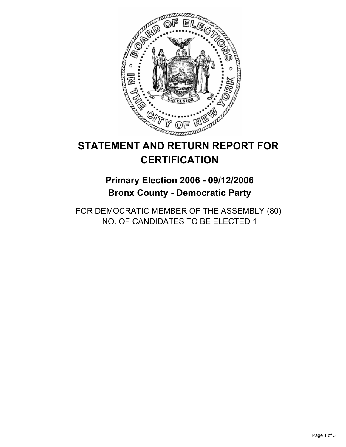

# **STATEMENT AND RETURN REPORT FOR CERTIFICATION**

## **Primary Election 2006 - 09/12/2006 Bronx County - Democratic Party**

FOR DEMOCRATIC MEMBER OF THE ASSEMBLY (80) NO. OF CANDIDATES TO BE ELECTED 1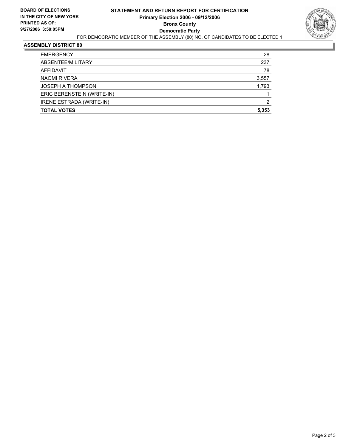

#### **ASSEMBLY DISTRICT 80**

| <b>EMERGENCY</b>           | 28    |
|----------------------------|-------|
| ABSENTEE/MILITARY          | 237   |
| <b>AFFIDAVIT</b>           | 78    |
| <b>NAOMI RIVERA</b>        | 3,557 |
| <b>JOSEPH A THOMPSON</b>   | 1,793 |
| ERIC BERENSTEIN (WRITE-IN) |       |
| IRENE ESTRADA (WRITE-IN)   | 2     |
| <b>TOTAL VOTES</b>         | 5,353 |
|                            |       |